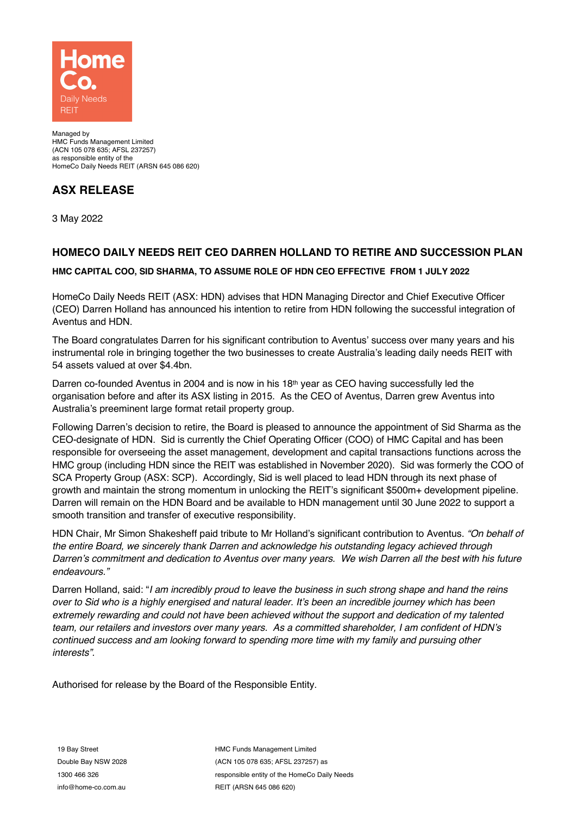

Managed by HMC Funds Management Limited (ACN 105 078 635; AFSL 237257) as responsible entity of the HomeCo Daily Needs REIT (ARSN 645 086 620)

# **ASX RELEASE**

3 May 2022

## **HOMECO DAILY NEEDS REIT CEO DARREN HOLLAND TO RETIRE AND SUCCESSION PLAN**

### **HMC CAPITAL COO, SID SHARMA, TO ASSUME ROLE OF HDN CEO EFFECTIVE FROM 1 JULY 2022**

HomeCo Daily Needs REIT (ASX: HDN) advises that HDN Managing Director and Chief Executive Officer (CEO) Darren Holland has announced his intention to retire from HDN following the successful integration of Aventus and HDN.

The Board congratulates Darren for his significant contribution to Aventus' success over many years and his instrumental role in bringing together the two businesses to create Australia's leading daily needs REIT with 54 assets valued at over \$4.4bn.

Darren co-founded Aventus in 2004 and is now in his 18th year as CEO having successfully led the organisation before and after its ASX listing in 2015. As the CEO of Aventus, Darren grew Aventus into Australia's preeminent large format retail property group.

Following Darren's decision to retire, the Board is pleased to announce the appointment of Sid Sharma as the CEO-designate of HDN. Sid is currently the Chief Operating Officer (COO) of HMC Capital and has been responsible for overseeing the asset management, development and capital transactions functions across the HMC group (including HDN since the REIT was established in November 2020). Sid was formerly the COO of SCA Property Group (ASX: SCP). Accordingly, Sid is well placed to lead HDN through its next phase of growth and maintain the strong momentum in unlocking the REIT's significant \$500m+ development pipeline. Darren will remain on the HDN Board and be available to HDN management until 30 June 2022 to support a smooth transition and transfer of executive responsibility.

HDN Chair, Mr Simon Shakesheff paid tribute to Mr Holland's significant contribution to Aventus. *"On behalf of the entire Board, we sincerely thank Darren and acknowledge his outstanding legacy achieved through Darren's commitment and dedication to Aventus over many years. We wish Darren all the best with his future endeavours."*

Darren Holland, said: "*I am incredibly proud to leave the business in such strong shape and hand the reins over to Sid who is a highly energised and natural leader. It's been an incredible journey which has been extremely rewarding and could not have been achieved without the support and dedication of my talented team, our retailers and investors over many years. As a committed shareholder, I am confident of HDN's continued success and am looking forward to spending more time with my family and pursuing other interests".*

Authorised for release by the Board of the Responsible Entity.

19 Bay Street Double Bay NSW 2028 1300 466 326 info@home-co.com.au

HMC Funds Management Limited (ACN 105 078 635; AFSL 237257) as responsible entity of the HomeCo Daily Needs REIT (ARSN 645 086 620)